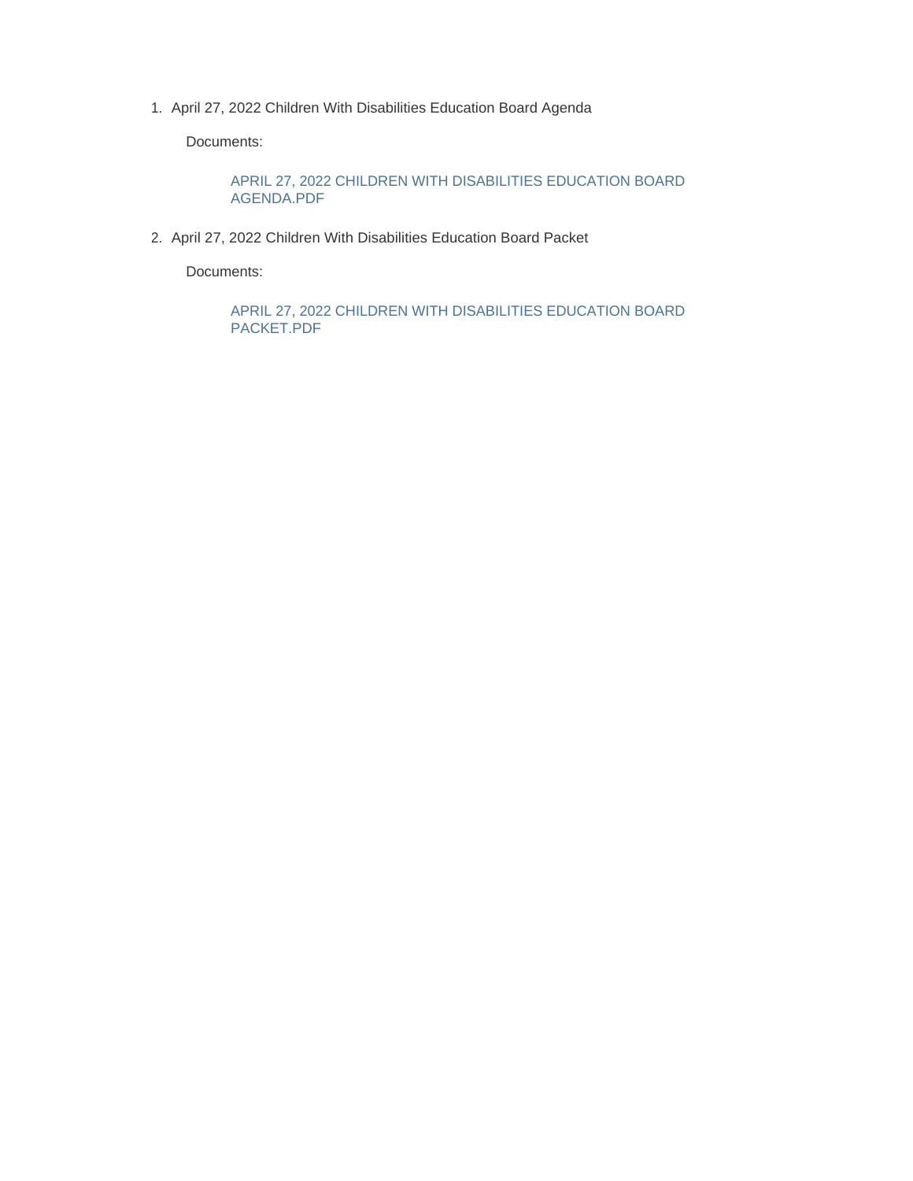1. April 27, 2022 Children With Disabilities Education Board Agenda

Documents:

APRIL 27, 2022 CHILDREN WITH DISABILITIES EDUCATION BOARD AGENDA.PDF

2. April 27, 2022 Children With Disabilities Education Board Packet

Documents:

APRIL 27, 2022 CHILDREN WITH DISABILITIES EDUCATION BOARD PACKET.PDF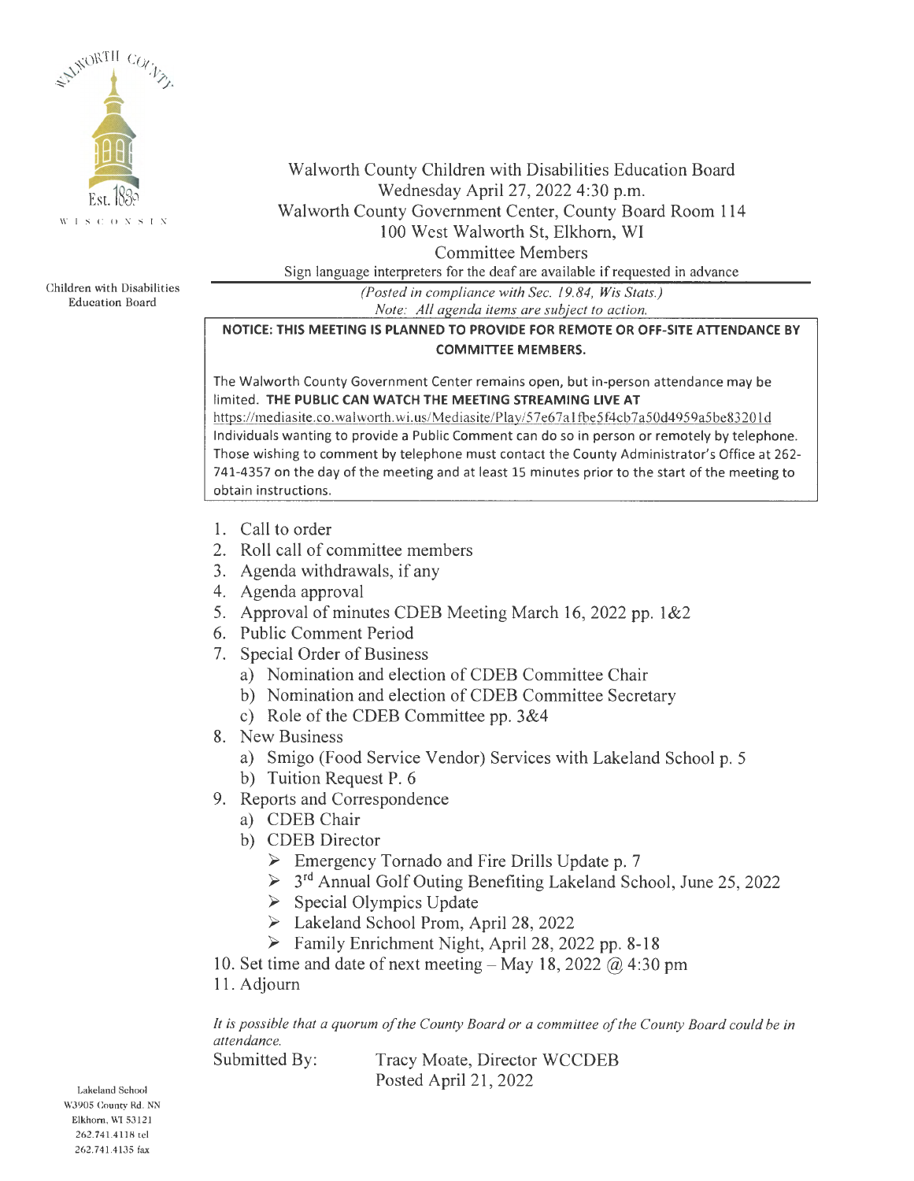

Children with Disabilities Education Board

## Walworth County Children with Disabilities Education Board Wednesday April 27, 2022 4:30 p.m. Walworth County Government Center, County Board Room 114 100 West Walworth St, Elkhorn, WI Committee Members

Sign language interpreters for the deaf are available if requested in advance

*(Posted in compliance with Sec. 19. 84, Wis Stats.) Note: All agenda items are subject to action.* 

### **NOTICE: THIS MEETING IS PLANNED TO PROVIDE FOR REMOTE OR OFF-SITE ATTENDANCE BY COMMITTEE MEMBERS.**

The Walworth County Government Center remains open, but in-person attendance may be limited. **THE PUBLIC CAN WATCH THE MEETING STREAMING LIVE AT** 

https://mediasite.co.walworth.wi.us/Mediasite/Play/57e67a1fbe5f4cb7a50d4959a5be83201d Individuals wanting to provide a Public Comment can do so in person or remotely by telephone. Those wishing to comment by telephone must contact the County Administrator's Office at 262- 741-4357 on the day of the meeting and at least 15 minutes prior to the start of the meeting to obtain instructions.

- 1. Call to order
- 2. Roll call of committee members
- 3. Agenda withdrawals, if any
- 4. Agenda approval
- 5. Approval of minutes CDEB Meeting March 16, 2022 pp. 1&2
- 6. Public Comment Period
- 7. Special Order of Business
	- a) Nomination and election of CDEB Committee Chair
	- b) Nomination and election of CDEB Committee Secretary
	- c) Role of the CDEB Committee pp. 3&4
- 8. New Business
	- a) Smigo (Food Service Vendor) Services with Lakeland School p. 5
	- b) Tuition Request P. 6
- 9. Reports and Correspondence
	- a) CDEB Chair
	- b) CDEB Director
		- ► Emergency Tornado and Fire Drills Update p. 7
		- ► 3rd Annual Golf Outing Benefiting Lakeland School, June 25, 2022
		- ► Special Olympics Update
		- ► Lakeland School Prom, April 28, 2022
		- ► Family Enrichment Night, April 28, 2022 pp. 8-18

10. Set time and date of next meeting  $-$  May 18, 2022  $\omega$  4:30 pm

11. Adjourn

*It is possible that a quorum of the County Board or a committee of the County Board could be in attendance.* 

Submitted By: Tracy Moate, Director WCCDEB Posted April 21, 2022

Lakeland School WJ905 County Rd. NN Elkhorn, WI 53121 262.741.4118 tel 262.741.4135 fax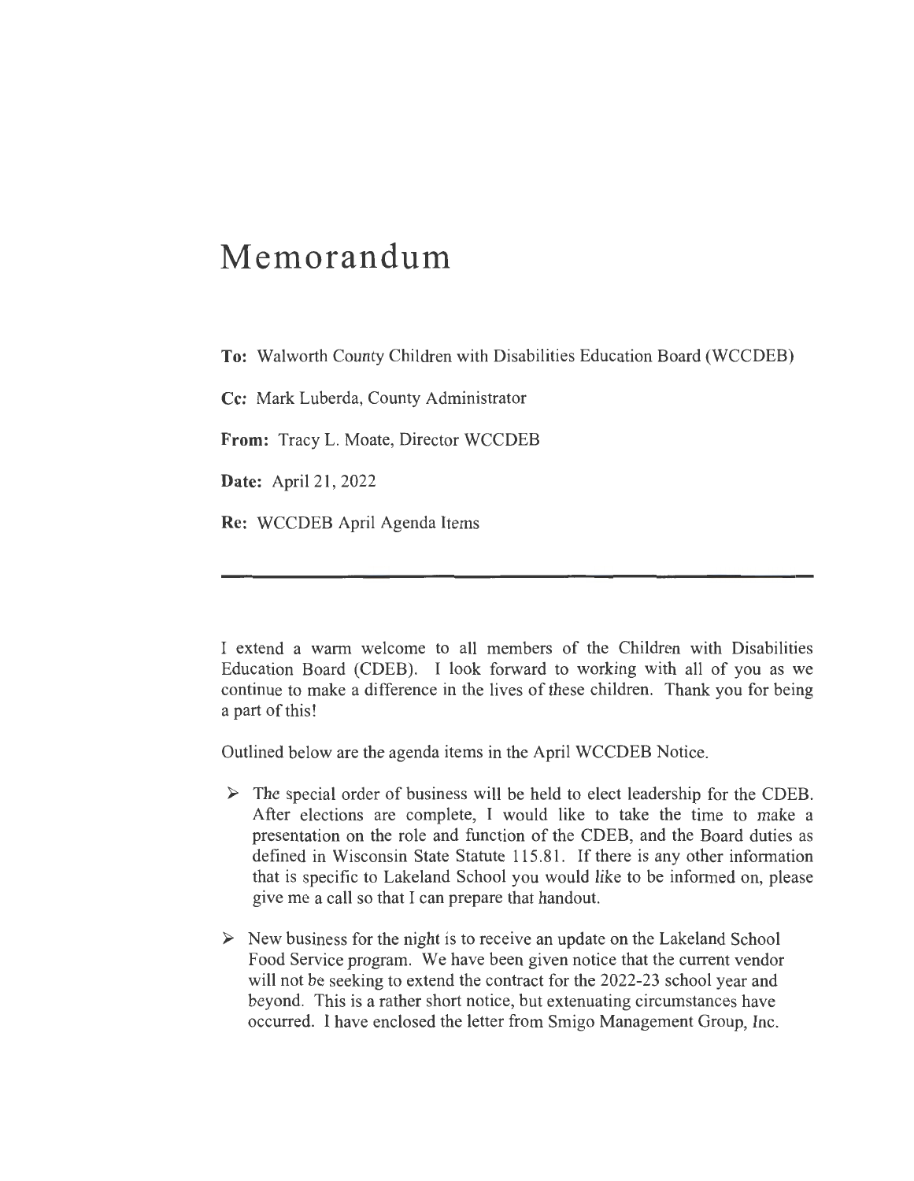# **Memorandum**

**To:** Walworth County Children with Disabilities Education Board (WCCDEB)

**Cc:** Mark Luberda, County Administrator

**From:** Tracy L. Moate, Director WCCDEB

**Date:** April 21, 2022

**Re:** WCCDEB April Agenda Items

I extend a warm welcome to all members of the Children with Disabilities Education Board (CDEB). I look forward to working with all of you as we continue to make a difference in the lives of these children. Thank you for being a part of this!

Outlined below are the agenda items in the April WCCDEB Notice.

- $\triangleright$  The special order of business will be held to elect leadership for the CDEB. After elections are complete, I would like to take the time to make a presentation on the role and function of the CDEB, and the Board duties as defined in Wisconsin State Statute 115.81. If there is any other information that is specific to Lakeland School you would like to be informed on, please give me a call so that I can prepare that handout.
- $\triangleright$  New business for the night is to receive an update on the Lakeland School Food Service program. We have been given notice that the current vendor will not be seeking to extend the contract for the 2022-23 school year and beyond. This is a rather short notice, but extenuating circumstances have occurred. I have enclosed the letter from Smigo Management Group, Inc.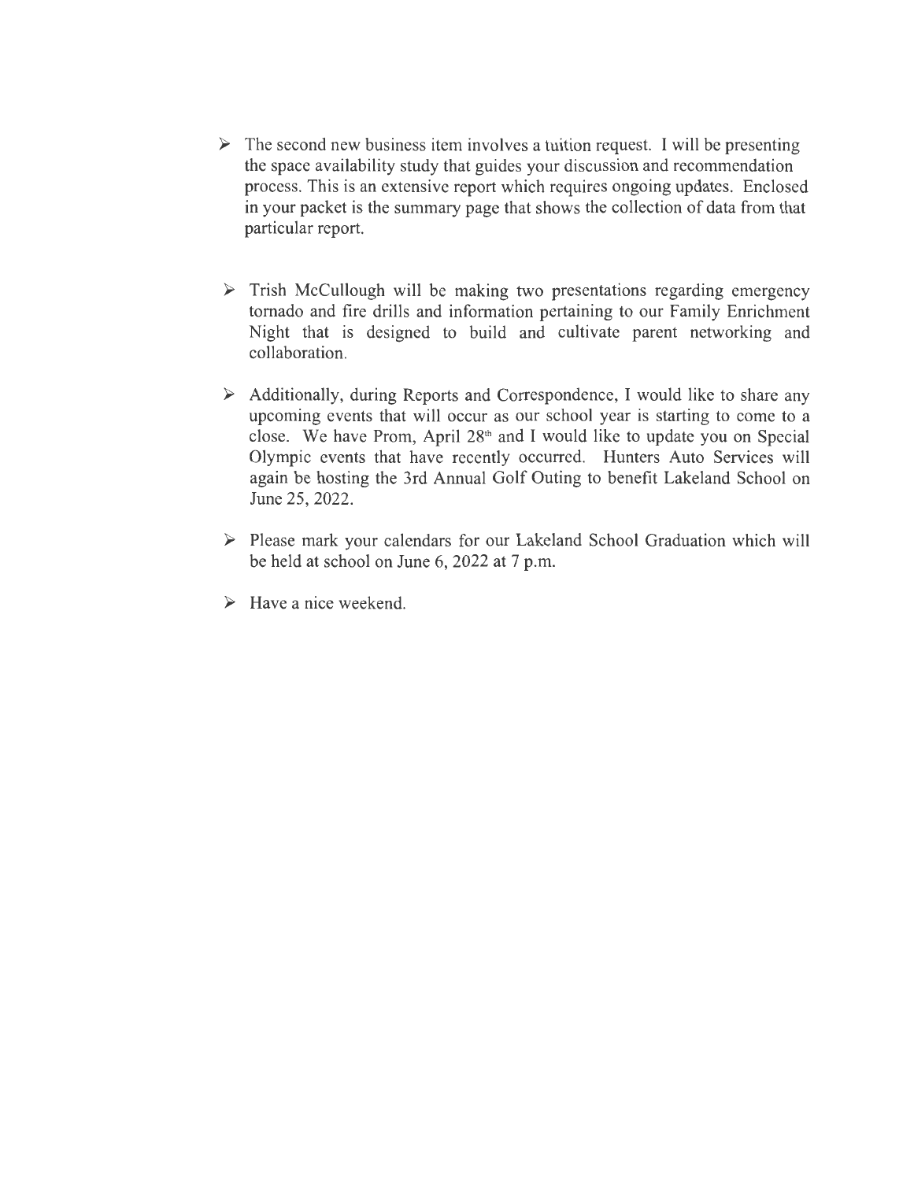- $\triangleright$  The second new business item involves a tuition request. I will be presenting the space availability study that guides your discussion and recommendation process. This is an extensive report which requires ongoing updates. Enclosed in your packet is the summary page that shows the collection of data from that particular report.
- ► Trish McCullough will be making two presentations regarding emergency tornado and fire drills and information pertaining to our Family Enrichment Night that is designed to build and cultivate parent networking and collaboration.
- ► Additionally, during Reports and Correspondence, I would like to share any upcoming events that will occur as our school year is starting to come to a close. We have Prom, April 28th and I would like to update you on Special Olympic events that have recently occurred. Hunters Auto Services will again be hosting the 3rd Annual Golf Outing to benefit Lakeland School on June 25, 2022.
- ► Please mark your calendars for our Lakeland School Graduation which will be held at school on June 6, 2022 at 7 p.m.
- $\triangleright$  Have a nice weekend.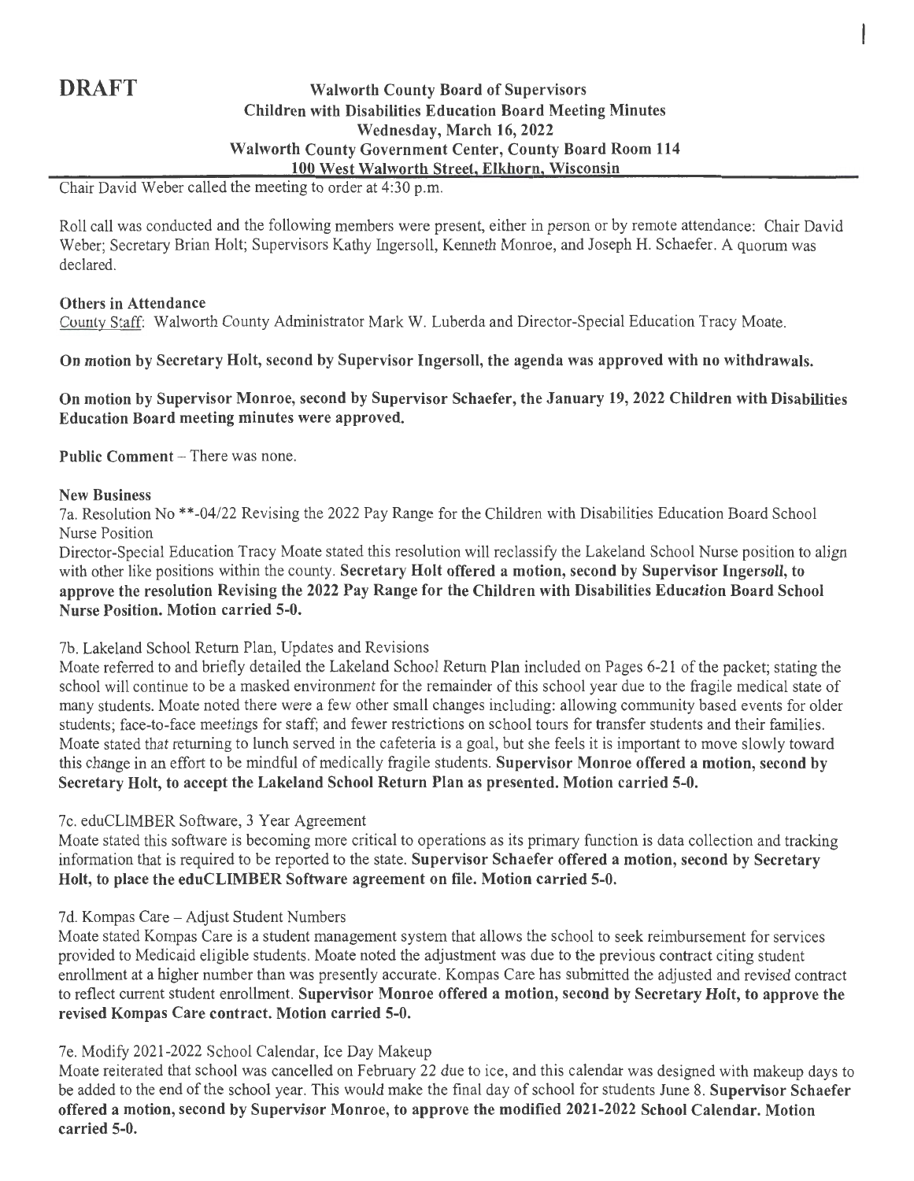### **DRAFT** Walworth County Board of Supervisors **Children with Disabilities Education Board Meeting Minutes Wednesday, March 16, 2022 Walworth County Government Center, County Board Room 114 100 West Walworth Street, Elkhorn, Wisconsin**

Chair David Weber called the meeting to order at 4:30 p.m.

Roll call was conducted and the following members were present, either in person or by remote attendance: Chair David Weber; Secretary Brian Holt; Supervisors Kathy Ingersoll, Kenneth Monroe, and Joseph H. Schaefer. A quorum was declared.

#### **Others in Attendance**

County Staff: Walworth County Administrator Mark W. Luberda and Director-Special Education Tracy Moate.

#### **On motion by Secretary Holt, second by Supervisor Ingersoll, the agenda was approved with no withdrawals.**

**On motion by Supervisor Monroe, second by Supervisor Schaefer, the January 19, 2022 Children with Disabilities Education Board meeting minutes were approved.** 

**Public Comment – There was none.** 

#### **New Business**

7a. Resolution No \*\*-04/22 Revising the 2022 Pay Range for the Children with Disabilities Education Board School Nurse Position

Director-Special Education Tracy Moate stated this resolution will reclassify the Lakeland School Nurse position to align with other like positions within the county. **Secretary Holt offered a motion, second by Supervisor Ingersoll, to approve the resolution Revising the 2022 Pay Range for the Children with Disabilities Education Board School Nurse Position. Motion carried 5-0.** 

7b. Lakeland School Return Plan, Updates and Revisions

Moate referred to and briefly detailed the Lakeland School Return Plan included on Pages 6-21 of the packet; stating the school will continue to be a masked environment for the remainder of this school year due to the fragile medical state of many students. Moate noted there were a few other small changes including: allowing community based events for older students; face-to-face meetings for staff; and fewer restrictions on school tours for transfer students and their families. Moate stated that returning to lunch served in the cafeteria is a goal, but she feels it is important to move slowly toward this change in an effort to be mindful of medically fragile students. **Supervisor Monroe offered a motion, second by Secretary Holt, to accept the Lakeland School Return Plan as presented. Motion carried 5-0.** 

#### 7c. eduCLIMBER Software, 3 Year Agreement

Moate stated this software is becoming more critical to operations as its primary function is data collection and tracking information that is required to be reported to the state. **Supervisor Schaefer offered a motion, second by Secretary Holt, to place the eduCLIMBER Software agreement on file. Motion carried 5-0.** 

#### 7d. Kompas Care - Adjust Student Numbers

Moate stated Kompas Care is a student management system that allows the school to seek reimbursement for services provided to Medicaid eligible students. Moate noted the adjustment was due to the previous contract citing student enrollment at a higher number than was presently accurate. Kompas Care has submitted the adjusted and revised contract to reflect current student enrollment. **Supervisor Monroe offered a motion, second by Secretary Holt, to approve the revised Kompas Care contract. Motion carried 5-0.** 

#### 7e. Modify 2021-2022 School Calendar, Ice Day Makeup

Moate reiterated that school was cancelled on February 22 due to ice, and this calendar was designed with makeup days to be added to the end of the school year. This would make the final day of school for students June 8. **Supervisor Schaefer offered a motion, second by Supervisor Monroe, to approve the modified 2021-2022 School Calendar. Motion carried 5-0.**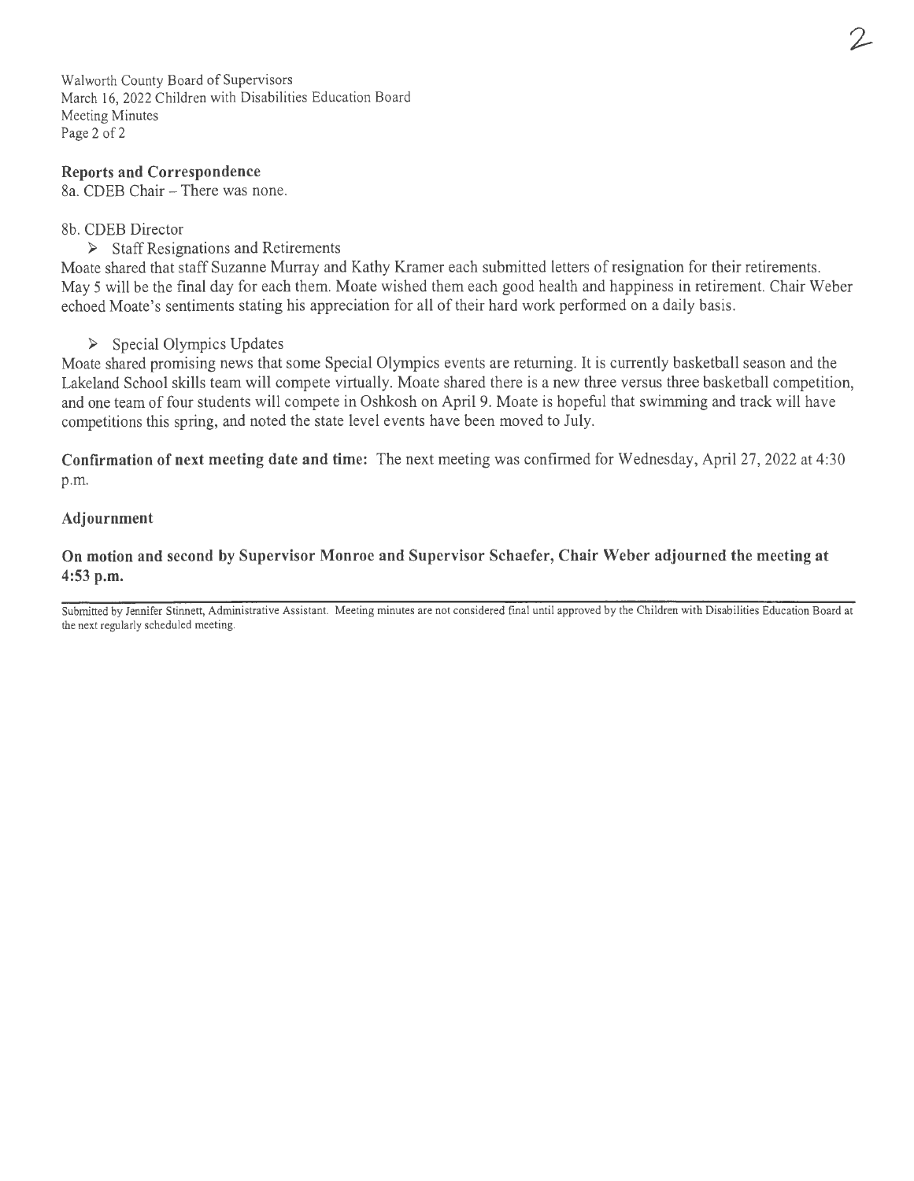Walworth County Board of Supervisors March 16, 2022 Children with Disabilities Education Board Meeting Minutes Page 2 of 2

#### **Reports and Correspondence**

8a. CDEB Chair - There was none.

#### 8b. CDEB Director

► Staff Resignations and Retirements

Moate shared that staff Suzanne Murray and Kathy Kramer each submitted letters of resignation for their retirements. May 5 will be the final day for each them. Moate wished them each good health and happiness in retirement. Chair Weber echoed Moate's sentiments stating his appreciation for all of their hard work performed on a daily basis.

#### ► Special Olympics Updates

Moate shared promising news that some Special Olympics events are returning. It is currently basketball season and the Lakeland School skills team will compete virtually. Moate shared there is a new three versus three basketball competition, and one team of four students will compete in Oshkosh on April 9. Moate is hopeful that swimming and track will have competitions this spring, and noted the state level events have been moved to July.

**Confirmation of next meeting date and time:** The next meeting was confirmed for Wednesday, April 27, 2022 at 4:30 p.m.

#### **Adjournment**

**On motion and second by Supervisor Monroe and Supervisor Schaefer, Chair Weber adjourned the meeting at 4:53 p.m.** 

Submitted by Jennifer Stinnett, Administrative Assistant. Meeting minutes are not considered final until approved by the Children with Disabilities Education Board at the next regularly scheduled meeting.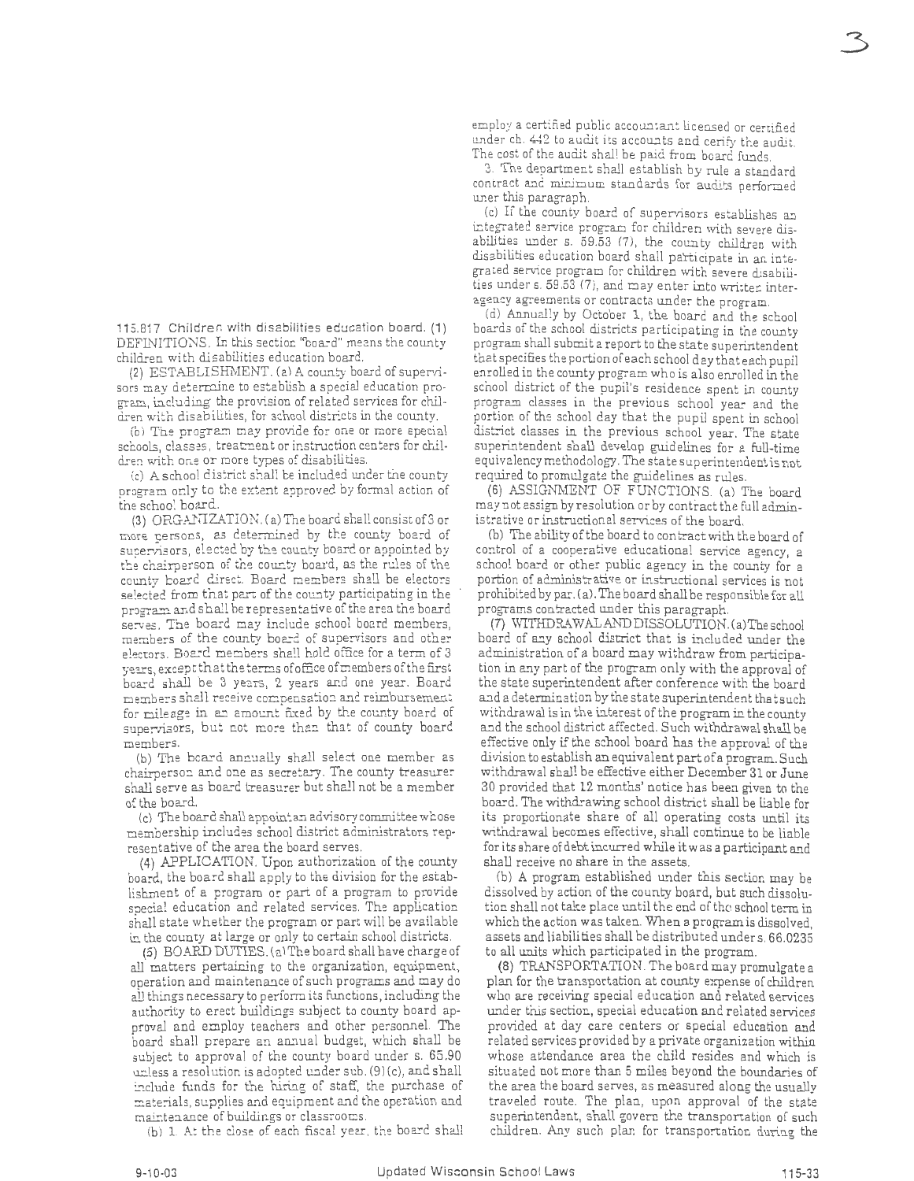115.817 Children with disabilities education board. (1) DEFINITIONS. In this section "board" means the county child:en with disabilities education board.

(2) ESTABLISHMENT. (a) A county board of supervisors may determine to establish a special education program, including the provision of related services for children with disabilities, for school districts in the county.

(b) The program may provide for one or more special schools, classes, treatment or instruction centers for children with one or more types of disabilities.

(c) A school dis:rict shall be included under tne county program only to the extent approved by formal action of tne school board.

 $(3)$  ORGANIZATION.  $(a)$  The board shall consist of 3 or more persons, as determined by the county board of supervisors, elected by the county board or appointed by the chairperson of the county board, as the rules of the county board direct. Board members shall be electors selected from that part of the county participating in the program and shall be representative of the area the board serves. The board may include school board members, members of the county board of supervisors and other electors. Board members shall hold office for a term of 3 years, except that the terms of office of members of the first board shall be 3 years, 2 years and one year. Board members shall receive compensation and reimbursement for mileage in an amount fixed by the county board of supervisors, but not more than that of county board members.

(b) The board annually shall select one member as chairperson and one as secretary. The county treasurer shall serve as board treasurer but shall not be a member of the boa.rd.

(c) The board shall appoint an advisory committee whose membership includes school district administrators representative of the area the board serves.

(4) APPLICATION. Upon authorization of the county board, the board shall apply to the division for the establishment of a program or part of a program to provide special education and related services. The application shall state whether the program or part will be available in the county at large or only to certain school districts.

(5) BOAPJ) DUTIES. (a)The board shall have charge of all matters pertaining to the organization, equipment, operation and maintenance of such programs and may do all things necessary to perform its functions, including the authority to erect buildings subject to county board approval and employ teachers and other personnel. The board shall prepare an annual budget, which shall be subject to approval of the county board under s. 65 .90 unless a resolution is adopted under sub. (9)(c), and shall include funds for the hiring of staff, the purchase of materials, supplies and equipment and the operation and maintenance of buildings or classrooms.

{b) l . At the close of each fiscal year, the boarc shall

employ a certified public accountant licensed or certified under ch. 442 to audit its accounts and cerify the audit. The cost of the audit shall be paici from board funds.

3. The department shall establish by rule a standard contract and minimum standards for audits performed uner this paragraph.

(c) If the county board of supervisors establishes an integrated service program for children with severe disabilities under s. 59.53 (7), the county children with disabilities education board shall participate in an integrated service program for children with severe disabilities under s. 59.53 (7), and may enter into written interagency agreements or contracts under the program.

(d) Annually by October 1, the board and the school boards of the school districts participating in the county program shall submit a report to the state superintendent that specifies the portion of each school day that each pupil enrolled in the county program who is also enrolled in the school district of the pupil's residence spent in county program classes in the previous school year and the portion of the school day that the pupil spent in school district classes in the previous school year. The state superintendent shall develop guidelines for a full-time equivalencymethodology, The state superintendent is not required to promulgate the guidelines as rules.

(6) ASSIGNMENT OF FUNCTIONS. (a) The board may not assign by resolution or by contract the full administrative or instructional services of the board

(b) The ability of the board to con tract with the board of control of a cooperative educational service agency, a school board or other public agency in the county for a portion of administrative or instructional services is not prohibited by par. (a). The board shall be responsible for all programs contracted under this paragraph.

(7) \i/1THDRAWALANDDISSOLUTION.(a)Theschool board of any school district that is included under the administration of a board may withdraw from participation in any part of the program only with the approval of the state superintendent after conference with the board and a determination by the state superintendent that such withdrawal is in the interest of the program in the county and the school district affected. Such withdrawal shall be effective only if the school board has the approval of the division to establish an equivalent part of a program. Such withdrawal shall be effective either December 31 or June 30 provided that 12 months' notice has been given to the board. The withdrawing school district shall be liable for its proportionate share of all operating costs until its withdrawal becomes effective, shall continue to be liable for its share of debt incurred while it was a participant and shall receive no share in the assets.

(b) A program established under this section may be dissolved by action of the county board, but such dissolution shall not take place until the end of the school term in which the action was taken. When a program is dissolved, assets and liabilities shall be distributed under s. 66.0235 to all units which participated in the program.

(8) TRANSPORTATION. The board may promulgate a plan for the transportation at county expense of children who are receiving special education and related services under this section, special education and reiated services provided at day care centers or special education and related services provided by a private organization within whose attendance area the child resides and which is situated not more than 5 miles beyond the boundaries of the area the board serves, as measured along the usually traveled route. The plan., upon approval of the state superintendent, shall govern the transportation of such children. Any such plan for transportatioc during the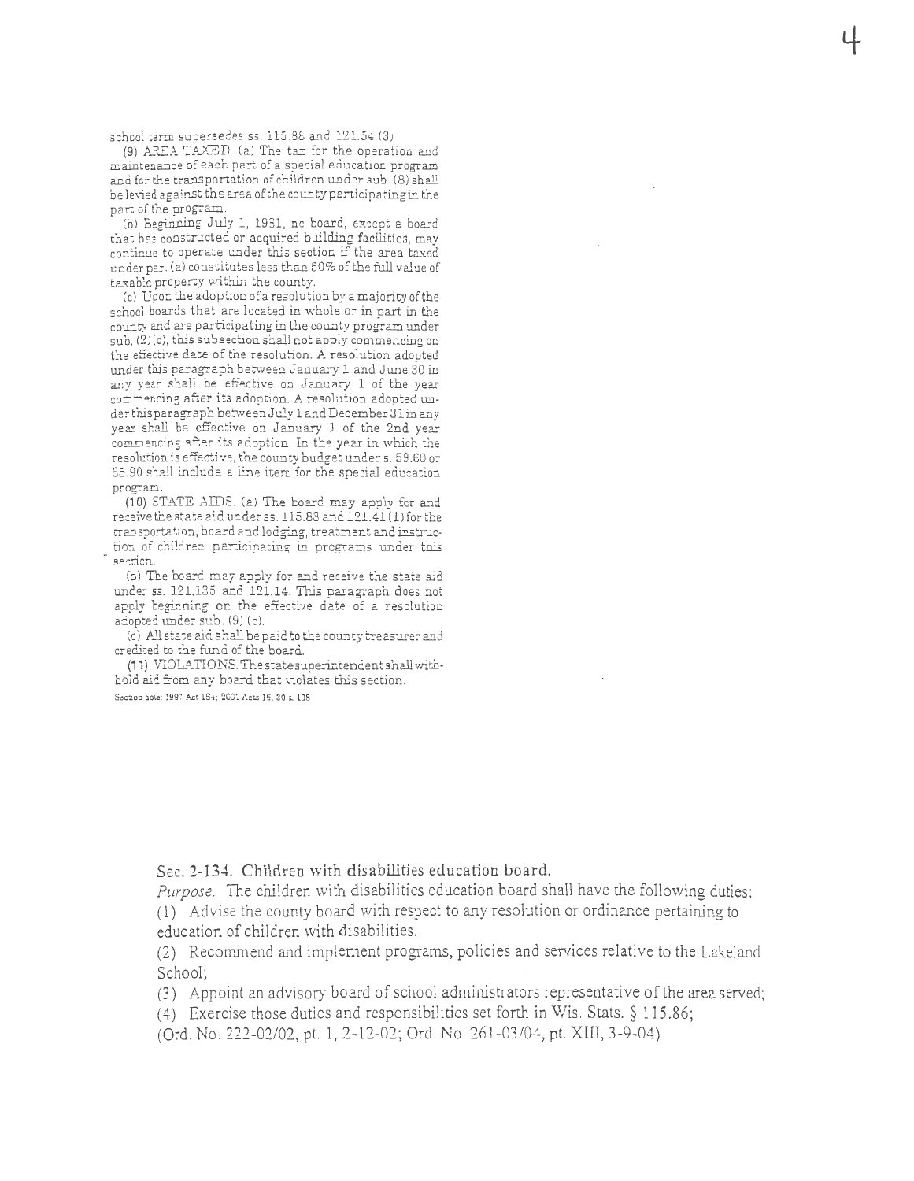school term supersedes ss.  $115.86$  and  $121.54$  (3)

(9) AREA TAXED. (a) The tax for the operation and maintenance of each part of a special education program and for the transportation of children under sub (8) shall be levied against the area of the county participating in the par. of the program.

(b) Beginning July 1, 1931, nc board, except a board that has constructed or acquired building facilities, may continue to operate under this section if the area taxed under par. (a) constitutes less than 50% of the full value of taxable property within the county.

(c) Upor: the adoptioo of a resolution by a majority of the schocl boards that are located in whole or in part in the county and are participating in the county program under  $sub. (2)(c)$ , this subsection shall not apply commencing on the effective date of the resolution. A resolution adopted under this paragraph between January 1 and June 30 in any year shall be effective on January 1 of the year commencing after its adoption. A resolution adopted under this paragraph between July 1 and December 31 in any year shall be effective on January 1 of the 2nd year commencing after its adoption. In the year in which the resolution is effective, the county budget under s. 59.60 or 65.90 shall include a line item for the special education program.

 $(10)$  STATE AIDS. (a) The board may apply for and receive the state aid under ss. 115.88 and 121.41 (1) for the transportation, board and lodging, treatment and instruction of children participating in programs under this **section.** 

(b) The board may apply for and receive the state aid under ss. 121.135 and 121.14. This paragraph does not apply beginning on the effective date of a resolution adopted under sub. (9) (c).

(c) All state aid shall be paid to the county treasurer and credited to the fund of the board.

(11) VIOLATIONS. The state superintendentshall withhold aid from any board that violates this section.

Section gote: 1997 Act 164; 2001 Acts 16, 30 s. 108

Sec. **2-134.** Children with disabilities education board.

*Purpose.* The children with disabilities education board shall have the following duties: (1) Advise the county board with respect to any resolution or ordinance pertaining to

education of children with disabilities.

(2) Recommend and implement programs, policies and services relative to the Lakeland School;

(3) Appoint an advisory board of school administrators representative of the area served;

( 4) Exercise those duties and responsibilities set forth in Wis. Stats. § 115 .86;

(Ord. No . *222-02/02,* pt. 1, 2-12-02; Ord. No. 261-03/04, pt. XIII, 3-9-04)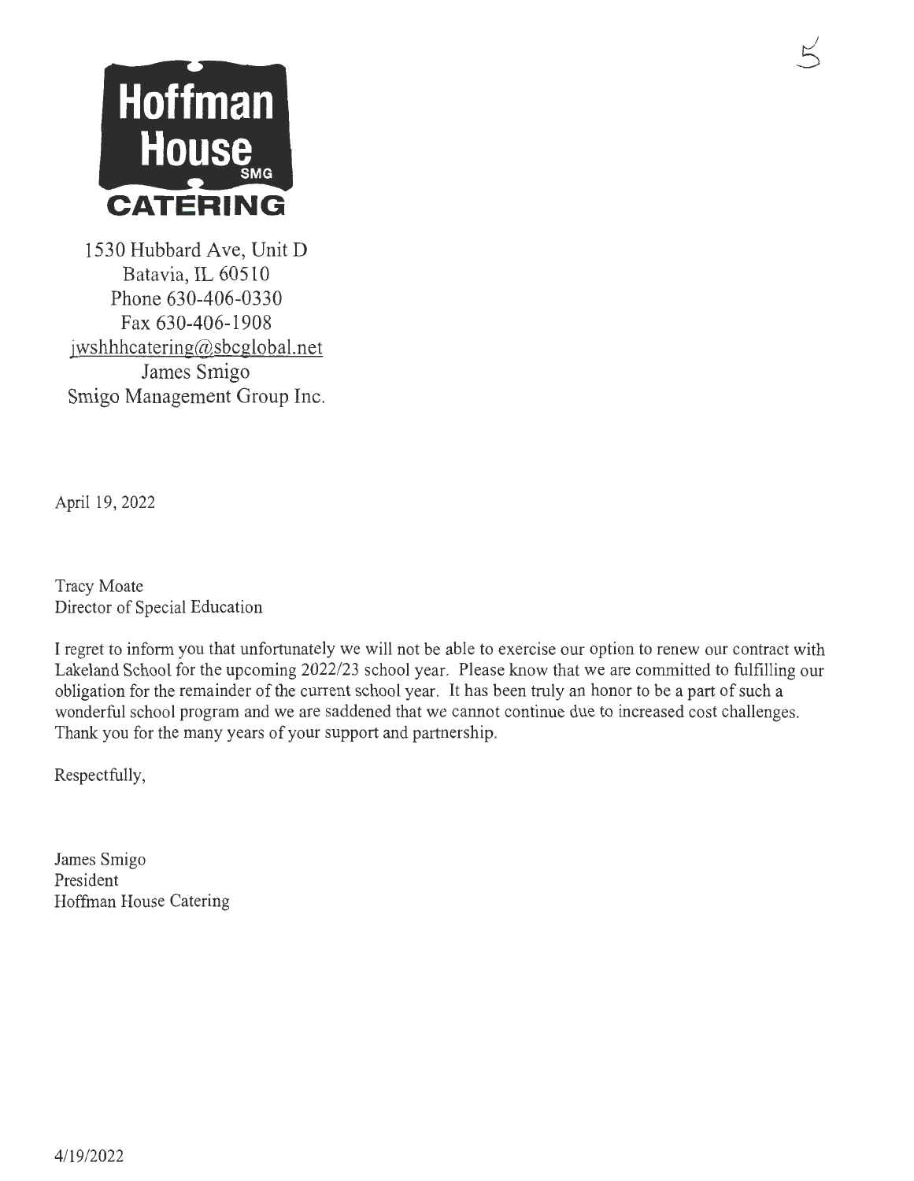

1530 Hubbard Ave, Unit D Batavia, IL 60510 Phone 630-406-0330 Fax 630-406-1908 jwshhhcatering@sbcglobal.net James Smigo Smigo Management Group Inc.

April 19,2022

Tracy Moate Director of Special Education

I regret to inform you that unfortunately we will not be able to exercise our option to renew our contract with Lakeland School for the upcoming 2022/23 school year. Please know that we are committed to fulfilling our obligation for the remainder of the current school year. It has been truly an honor to be a part of such a wonderful school program and we are saddened that we cannot continue due to increased cost challenges. Thank you for the many years of your support and partnership.

Respectfully,

James Smigo President Hoffman House Catering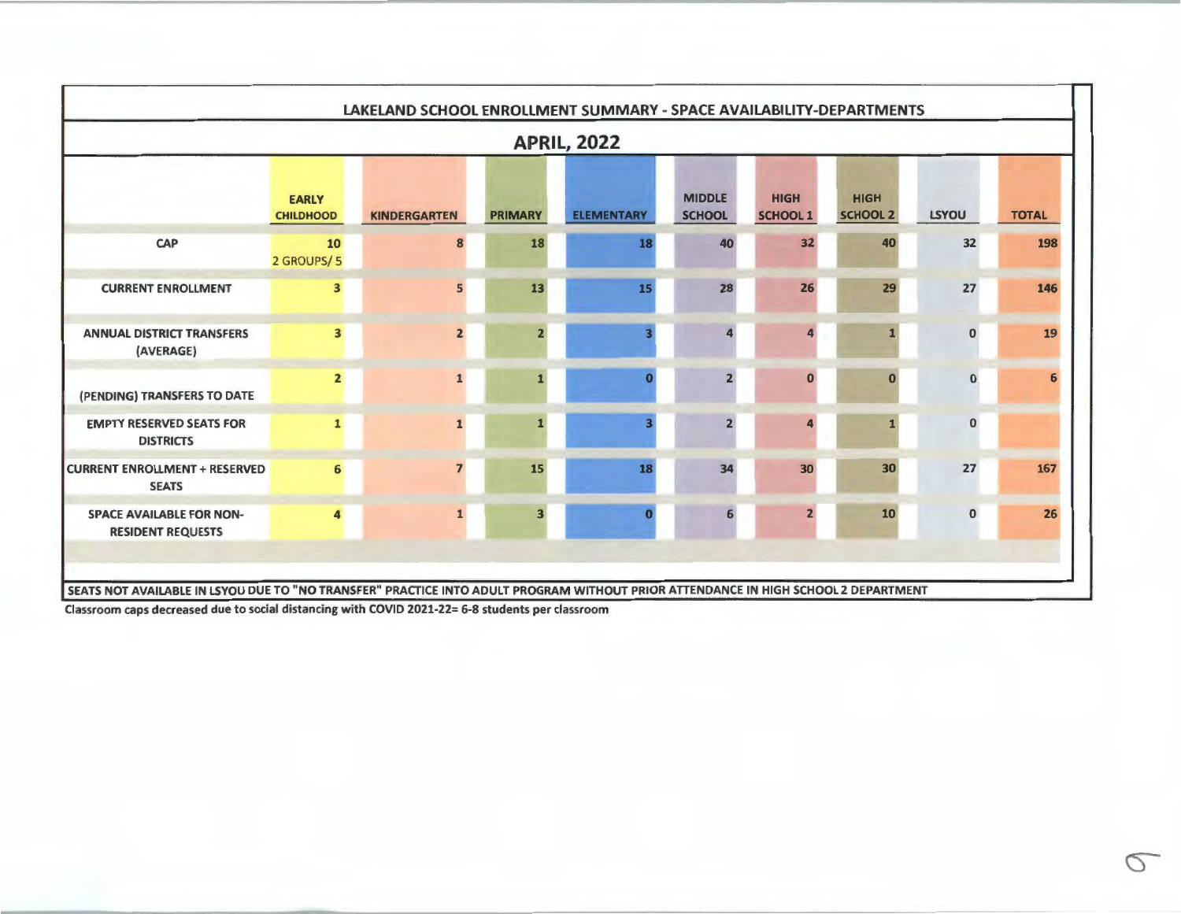|                                                             |                                  |                     |                | <b>APRIL, 2022</b> |                                |                                |                                |              |              |
|-------------------------------------------------------------|----------------------------------|---------------------|----------------|--------------------|--------------------------------|--------------------------------|--------------------------------|--------------|--------------|
|                                                             | <b>EARLY</b><br><b>CHILDHOOD</b> | <b>KINDERGARTEN</b> | <b>PRIMARY</b> | <b>ELEMENTARY</b>  | <b>MIDDLE</b><br><b>SCHOOL</b> | <b>HIGH</b><br><b>SCHOOL 1</b> | <b>HIGH</b><br><b>SCHOOL 2</b> | <b>LSYOU</b> | <b>TOTAL</b> |
| CAP                                                         | 10<br>2 GROUPS/5                 | 8                   | 18             | 18                 | 40                             | 32                             | 40                             | 32           | 198          |
| <b>CURRENT ENROLLMENT</b>                                   | $\overline{\mathbf{3}}$          | 5                   | 13             | 15                 | 28                             | 26                             | 29                             | 27           | 146          |
| <b>ANNUAL DISTRICT TRANSFERS</b><br>(AVERAGE)               | $\mathbf{3}$                     | $\overline{2}$      |                |                    |                                |                                |                                | $\mathbf 0$  | 19           |
| (PENDING) TRANSFERS TO DATE                                 | $\overline{2}$                   |                     |                |                    |                                | $\bf{0}$                       | $\bf{0}$                       | $\bf{0}$     | 6            |
| <b>EMPTY RESERVED SEATS FOR</b><br><b>DISTRICTS</b>         | $\mathbf{1}$                     | $\mathbf{1}$        |                |                    |                                |                                |                                | $\mathbf{0}$ |              |
| <b>CURRENT ENROLLMENT + RESERVED</b><br><b>SEATS</b>        | 6                                |                     | 15             | 18                 | 34                             | 30 <sup>°</sup>                | 30                             | 27           | 167          |
| <b>SPACE AVAILABLE FOR NON-</b><br><b>RESIDENT REQUESTS</b> | $\overline{\mathbf{4}}$          | $\mathbf{1}$        | в              |                    |                                | 2                              | 10                             | $\bf{0}$     | 26           |

Classroom caps decreased due to social distancing with COVID 2021-22= 6-8 students per classroom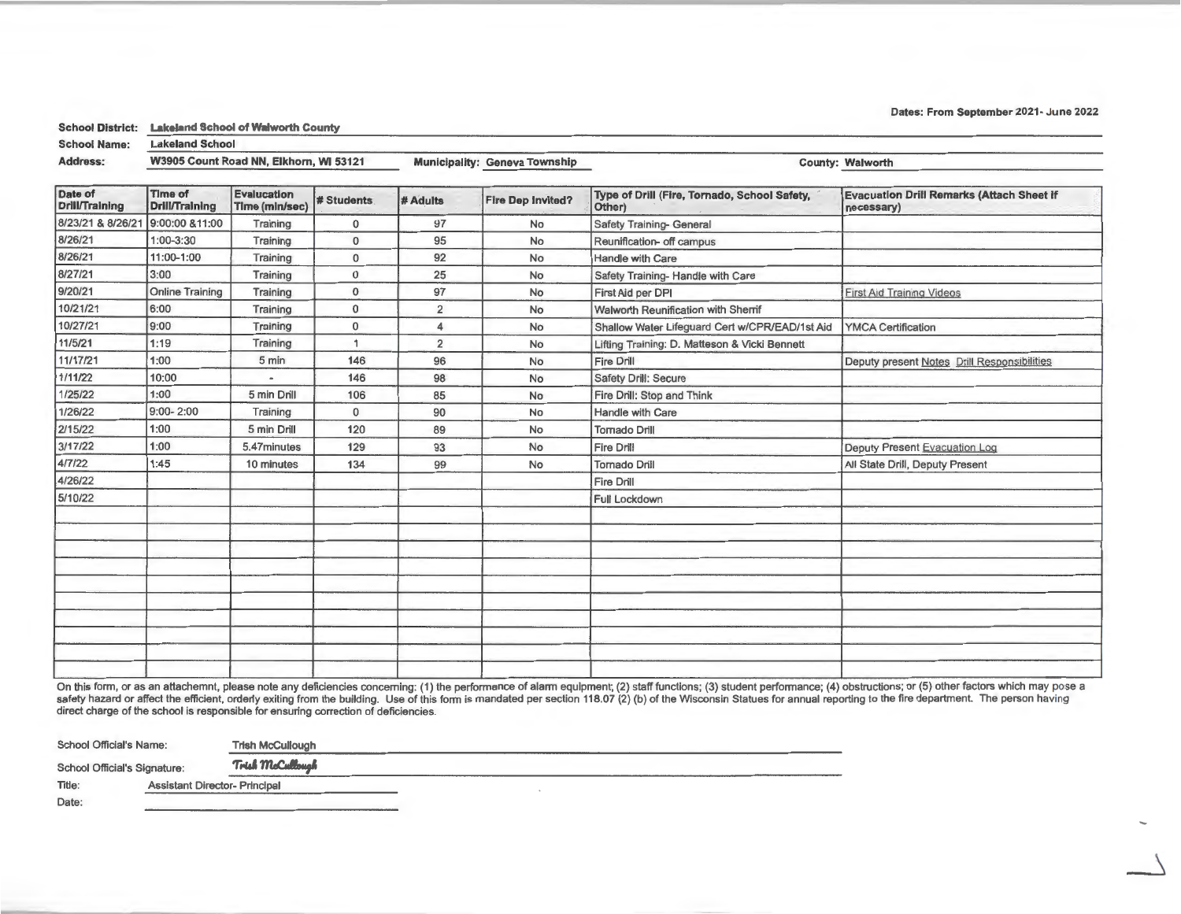Dates: From September 2021: June 2022

School District: Lakeland School of Walworth County

School Name: Lakeland School

Address: W3905 Count Road NN, Elkhorn, WI 53121 Municipality: Geneva Township County: Walworth County: Walworth

| Date of<br><b>Drill/Training</b> | Time of<br><b>Drill/Training</b> | <b>Evalucation</b><br>Time (min/sec) | <b># Students</b> | # Adults       | <b>Fire Dep Invited?</b> | Type of Drill (Fire, Tornado, School Safety,<br>Other)                      | <b>Evacuation Drill Remarks (Attach Sheet if</b><br>necessary) |
|----------------------------------|----------------------------------|--------------------------------------|-------------------|----------------|--------------------------|-----------------------------------------------------------------------------|----------------------------------------------------------------|
| 8/23/21 & 8/26/21                | 9:00:00 &11:00                   | Training                             | $\mathbf{0}$      | 97             | No                       | Safety Training- General                                                    |                                                                |
| 8/26/21                          | $1:00 - 3:30$                    | Training                             | $\Omega$          | 95             | No                       | Reunification- off campus                                                   |                                                                |
| 8/26/21                          | 11:00-1:00                       | Training                             | $\mathbf 0$       | 92             | No                       | Handle with Care                                                            |                                                                |
| 8/27/21                          | 3:00                             | Training                             | $\mathbf 0$       | 25             | No                       | Safety Training- Handle with Care                                           |                                                                |
| 9/20/21                          | <b>Online Training</b>           | Training                             | $\mathbf{0}$      | 97             | No                       | First Aid per DPI                                                           | <b>First Aid Training Videos</b>                               |
| 10/21/21                         | 6:00                             | Training                             | $\mathbf 0$       | $\overline{2}$ | No                       | <b>Walworth Reunification with Sherrif</b>                                  |                                                                |
| 10/27/21                         | 9:00                             | Training                             | $\mathbf{0}$      | 4              | No                       | <b>YMCA Certification</b><br>Shallow Water Lifeguard Cert w/CPR/EAD/1st Aid |                                                                |
| 11/5/21                          | 1:19                             | Training                             |                   | $\overline{2}$ | No                       | Lifting Training: D. Matteson & Vicki Bennett                               |                                                                |
| 11/17/21                         | 1:00                             | 5 min                                | 146               | 96             | No                       | Deputy present Notes Drill Responsibilities<br>Fire Drill                   |                                                                |
| 7/11/22                          | 10:00                            | $\blacksquare$                       | 146               | 98             | No                       | Safety Drill: Secure                                                        |                                                                |
| 1/25/22                          | 1:00                             | 5 min Drill                          | 106               | 85             | No                       | Fire Drill: Stop and Think                                                  |                                                                |
| 1/26/22                          | $9:00 - 2:00$                    | Training                             | $\mathbf{0}$      | 90             | No                       | Handle with Care                                                            |                                                                |
| 2/15/22                          | 1:00                             | 5 min Drill                          | 120               | 89             | No                       | <b>Tornado Drill</b>                                                        |                                                                |
| 3/17/22                          | 1:00                             | 5.47minutes                          | 129               | 93             | No                       | Fire Drill<br>Deputy Present Evacuation Log                                 |                                                                |
| 4/7/22                           | 1:45                             | 10 minutes                           | 134               | 99             | No                       | All State Drill, Deputy Present<br><b>Tornado Drill</b>                     |                                                                |
| 4/26/22                          |                                  |                                      |                   |                |                          | <b>Fire Drill</b>                                                           |                                                                |
| 5/10/22                          |                                  |                                      |                   |                |                          | <b>Full Lockdown</b>                                                        |                                                                |
|                                  |                                  |                                      |                   |                |                          |                                                                             |                                                                |
|                                  |                                  |                                      |                   |                |                          |                                                                             |                                                                |
|                                  |                                  |                                      |                   |                |                          |                                                                             |                                                                |
|                                  |                                  |                                      |                   |                |                          |                                                                             |                                                                |
|                                  |                                  |                                      |                   |                |                          |                                                                             |                                                                |
|                                  |                                  |                                      |                   |                |                          |                                                                             |                                                                |
|                                  |                                  |                                      |                   |                |                          |                                                                             |                                                                |
|                                  |                                  |                                      |                   |                |                          |                                                                             |                                                                |
|                                  |                                  |                                      |                   |                |                          |                                                                             |                                                                |
|                                  |                                  |                                      |                   |                |                          |                                                                             |                                                                |

On this form, or as an attachemnt, please note any deficiencies concerning: (1) the performance of alarm equipment; (2) staff functions; (3) student performance; (4) obstructions; or (5) other factors which may <sub>DO</sub> se a safety hazard or affect the efficient, orderly exiting from the building. Use of this form is mandated per section 118.07 (2) (b) of the Wisconsin Statues for annual reporting to the fire department. The person having direct charge of the school is responsible for ensuring correction of deficiencies.

| <b>School Official's Name:</b> |                                      | <b>Trish McCullough</b> |
|--------------------------------|--------------------------------------|-------------------------|
| School Official's Signature:   |                                      | Trish McCullough        |
| Title:                         | <b>Assistant Director- Principal</b> |                         |
| Date:                          |                                      |                         |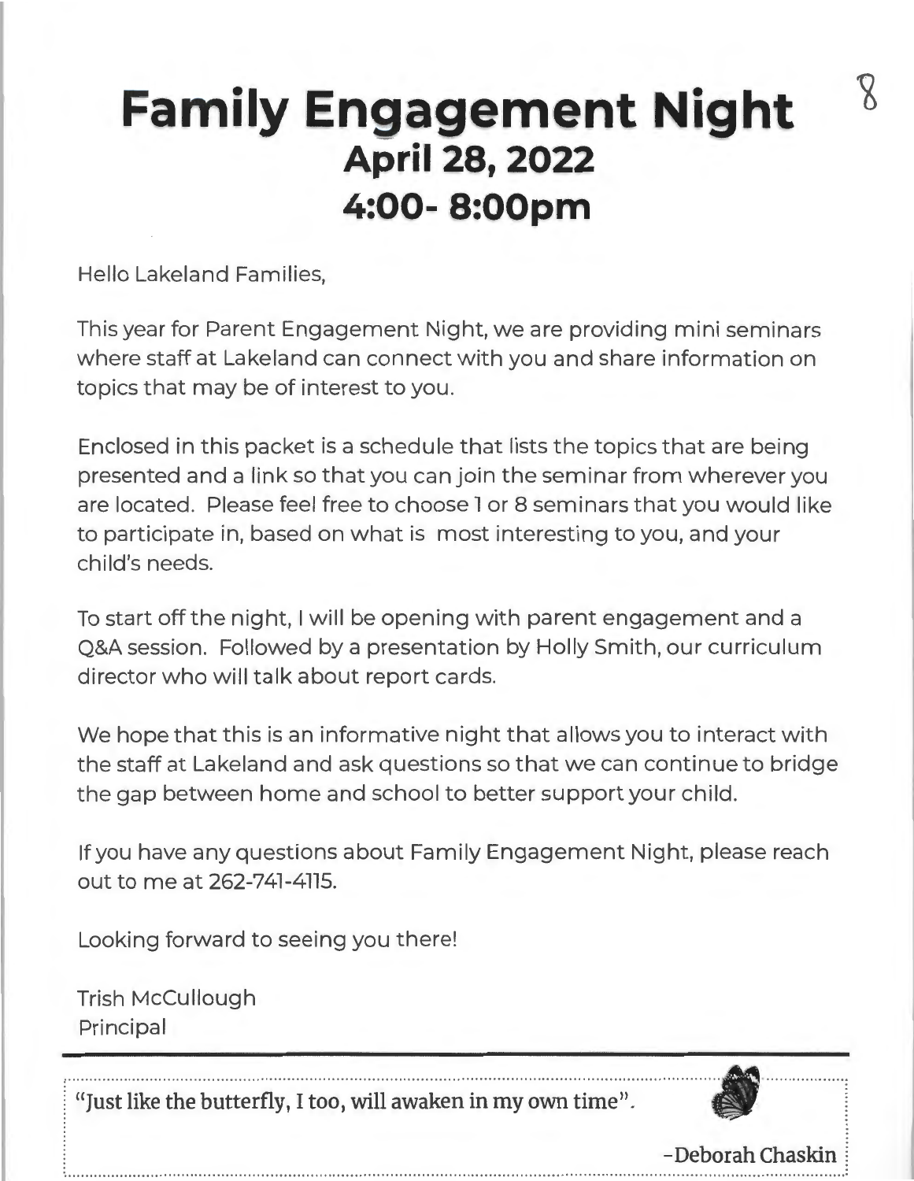# **Family Engagement Night April 28, 2022 4:00- 8:00pm**

Hello Lakeland Families,

This year for Parent Engagement Night, we are providing mini seminars where staff at Lakeland can connect with you and share information on topics that may be of interest to you.

Enclosed in this packet is a schedule that lists the topics that are being presented and a link so that you can join the seminar from wherever you are located. Please feel free to choose 1 or 8 seminars that you would like to participate in, based on what is most interesting to you, and your child's needs.

To start off the night, I will be opening with parent engagement and a Q&A session. Followed by a presentation by Holly Smith, our curriculum director who will talk about report cards.

We hope that this is an informative night that allows you to interact with the staff at Lakeland and ask questions so that we can continue to bridge the gap between home and school to better support your child.

If you have any questions about Family Engagement Night, please reach out to me at 262-747-4775.

Looking forward to seeing you there!

Trish McCullough Principal

«Just like the butterfly, I too, will awaken in my own time".



- Deborah Chaskin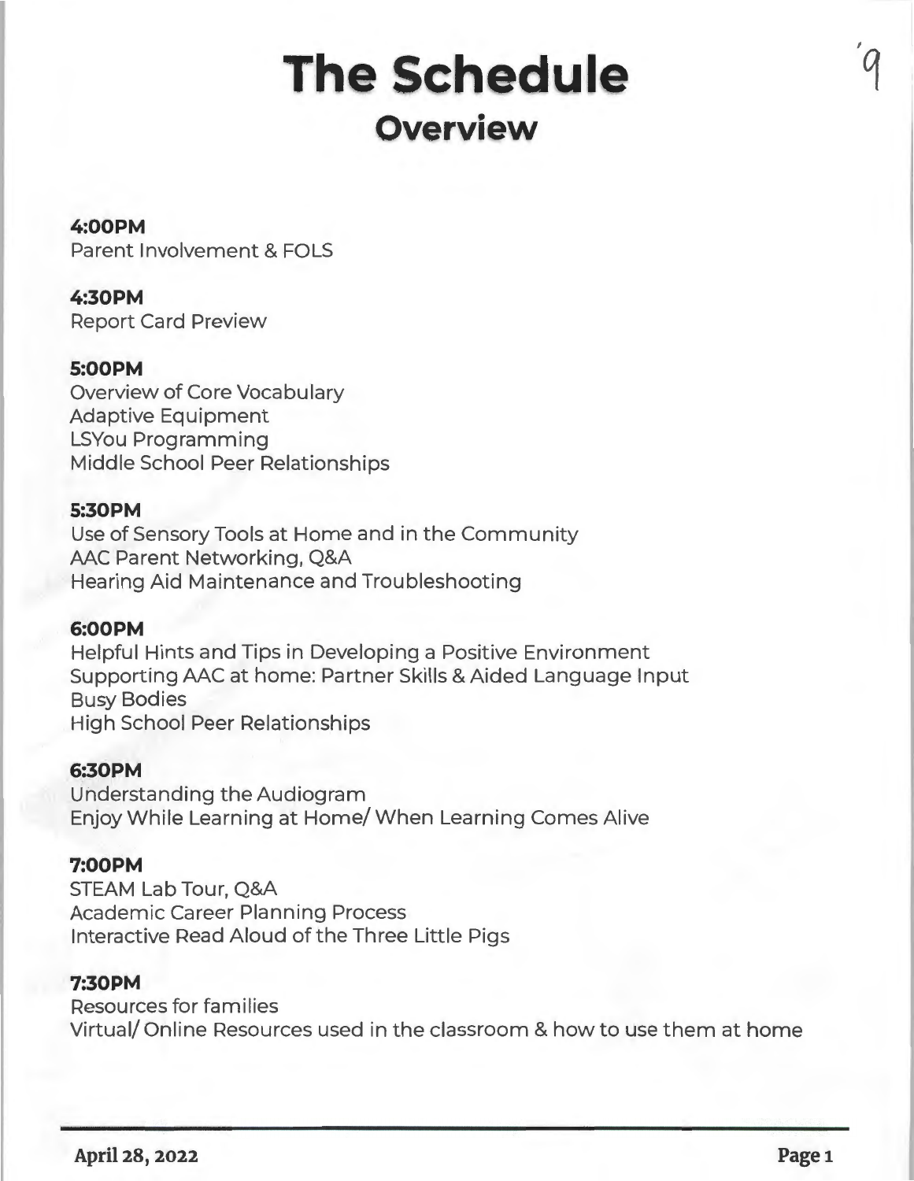# **The Schedule Overview**

## **4:00PM**

Parent Involvement & FOLS

# **4:30PM**

Report Card Preview

# **5:00PM**

Overview of Core Vocabulary Adaptive Equipment LSYou Programming Middle School Peer Relationships

## **5:30PM**

Use of Sensory Tools at Home and in the Community AAC Parent Networking, Q&A Hearing Aid Maintenance and Troubleshooting

### **6:00PM**

Helpful Hints and Tips in Developing a Positive Environment Supporting AAC at home: Partner Skills & Aided Language Input Busy Bodies High School Peer Relationships

### **6:30PM**

Understanding the Audiogram Enjoy While Learning at Home/ When Learning Comes Alive

### **7:00PM**

STEAM Lab Tour, Q&A Academic Career Planning Process Interactive Read Aloud of the Three Little Pigs

### **7:30PM**

Resources for families Virtual/ Online Resources used in the classroom & how to use them at home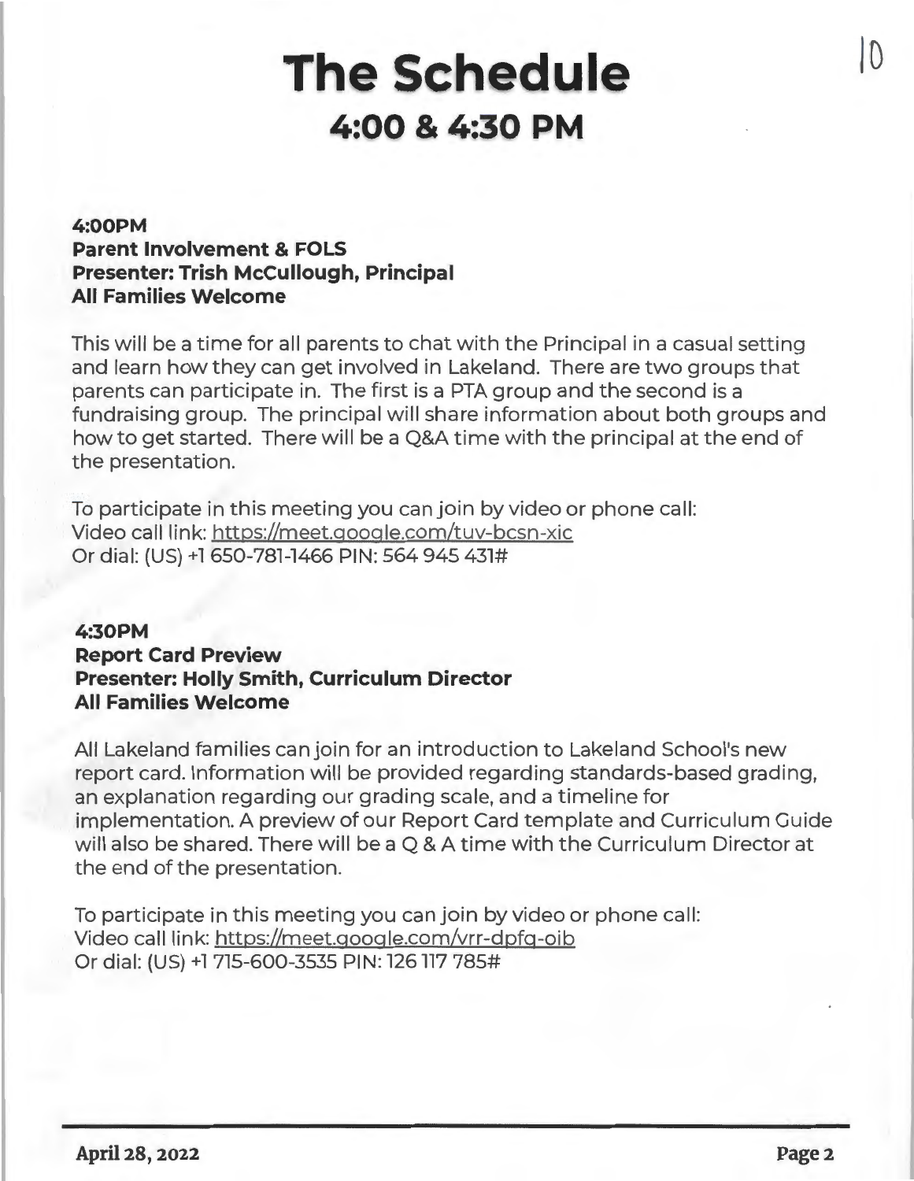# **The Schedule 4:00 & 4:30 PM**

# **4:00PM Parent Involvement & FOLS Presenter: Trish McCullough, Principal All Families Welcome**

This will be a time for all parents to chat with the Principal in a casual setting and learn how they can get involved in Lakeland. There are two groups that parents can participate in. The first is a PTA group and the second is a fundraising group. The principal will share information about both groups and how to get started. There will be a Q&A time with the principal at the end of the presentation.

To participate in this meeting you can join by video or phone call: Video call link: https://meet.qoogle.com/tuv-bcsn-xic Or dial: (US) +l 650-781-1466 PIN: 564 945 431#

## **4:30PM Report Card Preview Presenter: Holly Smith, Curriculum Director All Families Welcome**

All Lakeland families can join for an introduction to Lakeland School's new report card. Information will be provided regarding standards-based grading, an explanation regarding our grading scale, and a timeline for implementation. A preview of our Report Card template and Curriculum Guide will also be shared. There will be a Q & A time with the Curriculum Director at the end of the presentation.

To participate in this meeting you can join by video or phone call: Video call link: https://meet.qoogle.com/vrr-dpfq-oib Or dial: (US) +l 715-600-3535 PIN: 126117 785#

 $\cup$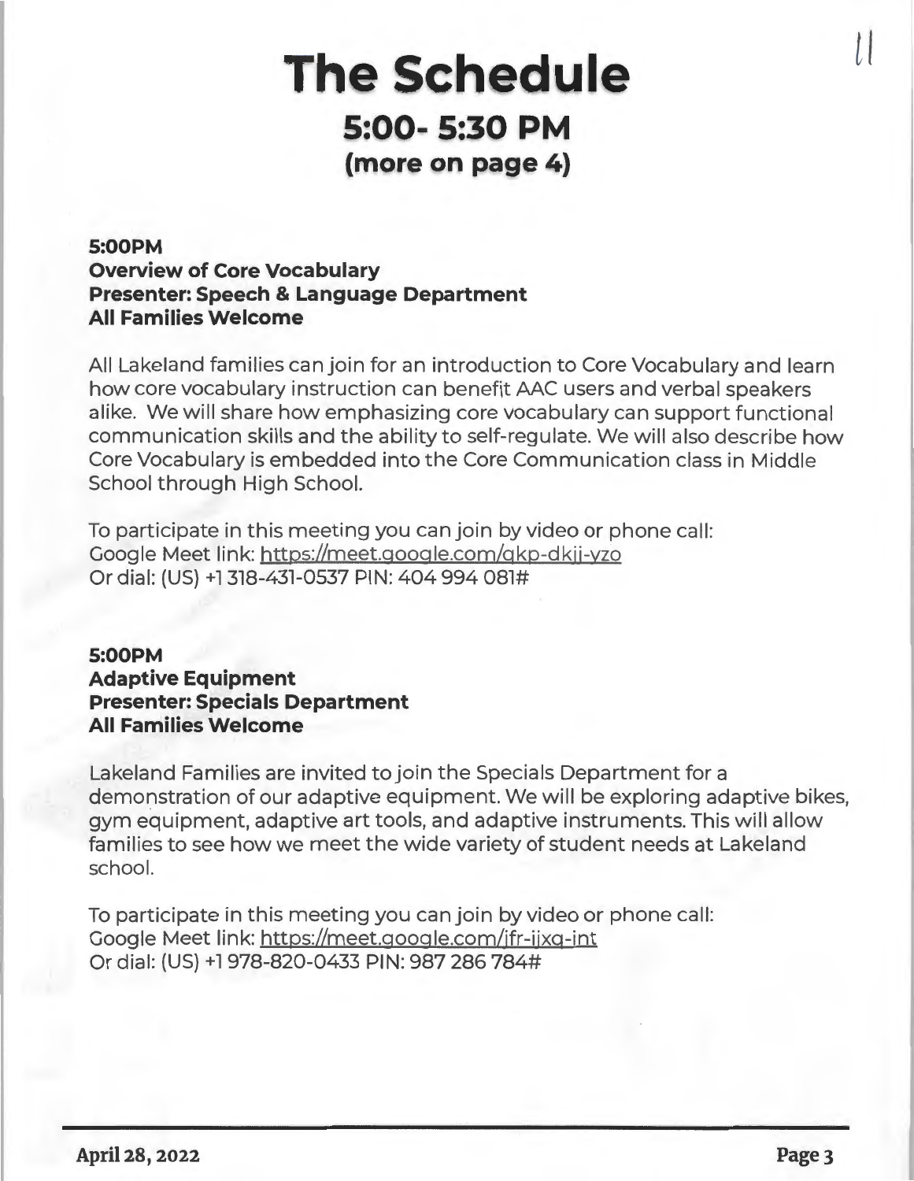# **The Schedule 5:00- 5:30 PM (more on page 4)**

# **5:00PM Overview of Core Vocabulary Presenter: Speech & Language Department All Families Welcome**

All Lakeland families can join for an introduction to Core Vocabulary and learn how core vocabulary instruction can benefit AAC users and verbal speakers alike. We will share how emphasizing core vocabulary can support functional communication skills and the ability to self-regulate. We will also describe how Core Vocabulary is embedded into the Core Communication class in Middle School through High School.

To participate in this meeting you can join by video or phone call: Google Meet link: httgs://meet.google.com/qkg-dkjj-yzo Or dial: (US) +l 318-431-0537 PIN: 404 994 081#

# **5:00PM Adaptive Equipment Presenter: Specials Department All Families Welcome**

Lakeland Families are invited to join the Specials Department for a demonstration of our adaptive equipment. We will be exploring adaptive bikes, gym equipment, adaptive art tools, and adaptive instruments. This will allow families to see how we meet the wide variety of student needs at Lakeland school.

To participate in this meeting you can join by video or phone call: Google Meet link: httgs://meet.google.com/jfr-ijxq-int Or dial: (US) +l 978-820-0433 PIN: 987 286 784#

 $\iota$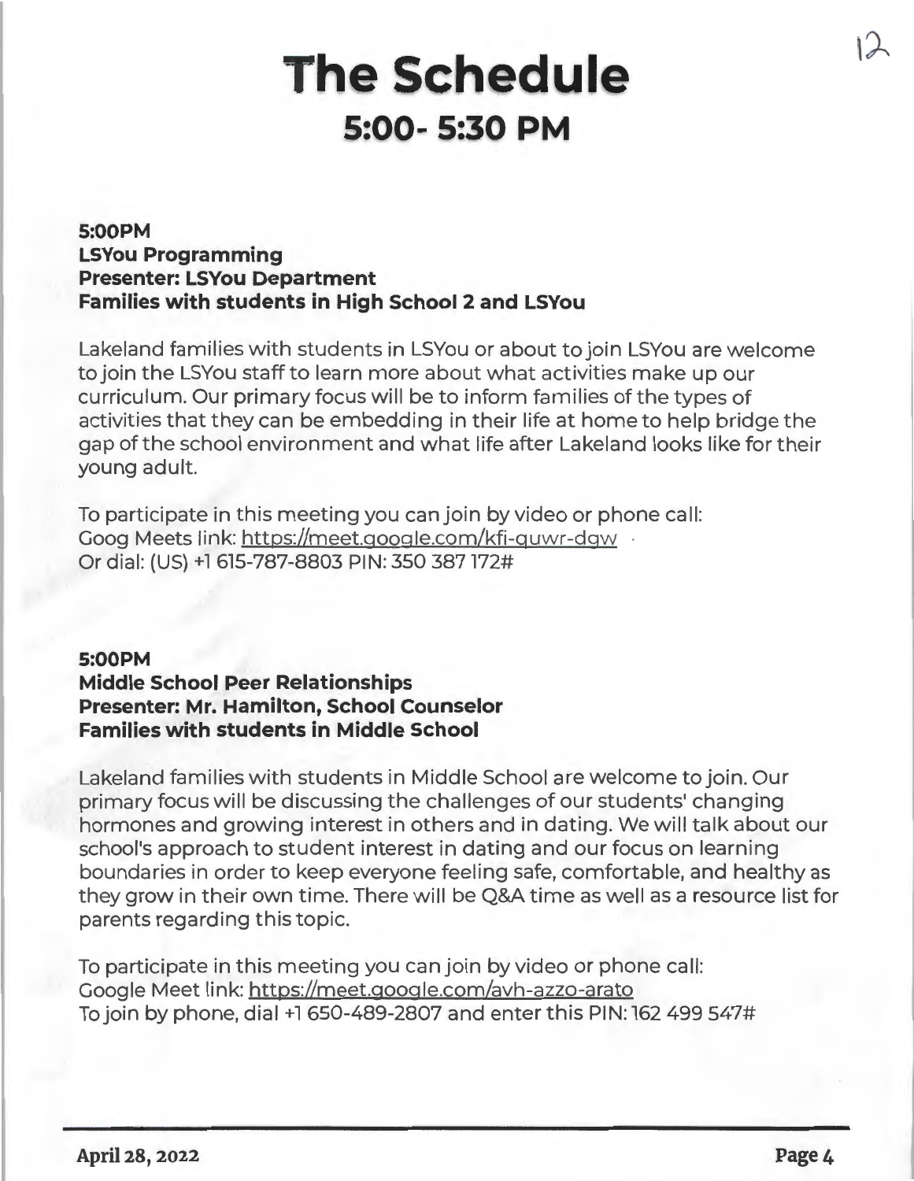# **The Schedule 5:00- 5:30 PM**

# **5:00PM LSYou Programming Presenter: LSYou Department Families with students in High School 2 and LSYou**

Lakeland families with students in LSYou or about to join LSYou are welcome to join the LSYou staff to learn more about what activities make up our curriculum. Our primary focus will be to inform families of the types of activities that they can be embedding in their life at home to help bridge the gap of the school environment and what life after Lakeland looks like for their young adult.

To participate in this meeting you can join by video or phone call: Goog Meets link: https://meet.google.com/kfi-guwr-dgw Or dial: (US) +l 615-787-8803 PIN: 350 387172#

# **5:00PM Middle School Peer Relationships Presenter: Mr. Hamilton, School Counselor Families with students in Middle School**

Lakeland families with students in Middle School are welcome to join. Our primary focus will be discussing the challenges of our students' changing hormones and growing interest in others and in dating. We will talk about our school's approach to student interest in dating and our focus on learning boundaries in order to keep everyone feeling safe, comfortable, and healthy as they grow in their own time. There will be Q&A time as well as a resource list for parents regarding this topic.

To participate in this meeting you can join by video or phone call: Google Meet link: https://meet.google.com/avh-azzo-arato To join by phone, dial +1 650-489-2807 and enter this PIN: 162 499 547#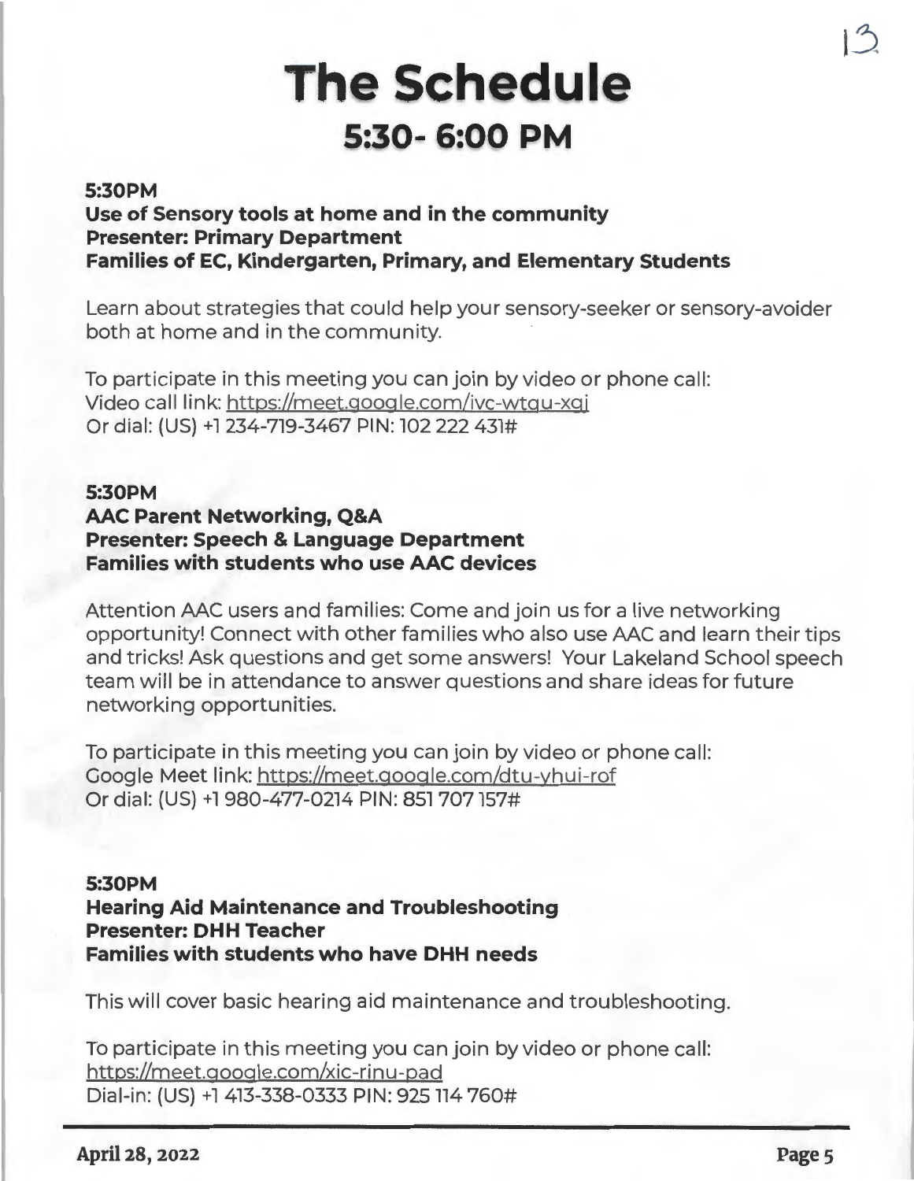# **The Schedule 5:30- 6:00 PM**

### **5:30PM**

**Use of Sensory tools at home and in the community Presenter: Primary Department Families of EC, Kindergarten, Primary, and Elementary Students** 

Learn about strategies that could help your sensory-seeker or sensory-avoider both at home and in the community.

To participate in this meeting you can join by video or phone call: Video call link: https://meet.google.com/ivc-wtqu-xgj Or dial: (US) +l 234-719-3467 PIN: 102 222 431#

## **5:30PM AAC Parent Networking, Q&A Presenter: Speech** & **Language Department Families with students who use AAC devices**

Attention AAC users and families: Come and join us for a live networking opportunity! Connect with other families who also use AAC and learn their tips and tricks! Ask questions and get some answers! Your Lakeland School speech team will be in attendance to answer questions and share ideas for future networking opportunities.

To participate in this meeting you can join by video or phone call: Google Meet link: https://meet.gooqle.com/dtu-yhui-rof Or dial: (US) +1 980-477-0214 PIN: 851 707 157#

## **5:30PM Hearing Aid Maintenance and Troubleshooting Presenter: DHH Teacher Families with students who have DHH needs**

This will cover basic hearing aid maintenance and troubleshooting.

To participate in this meeting you can join by video or phone call: https://meet.google.com/xic-rinu-pad Dial-in: (US) +1 413-338-0333 PIN: 925 114 760#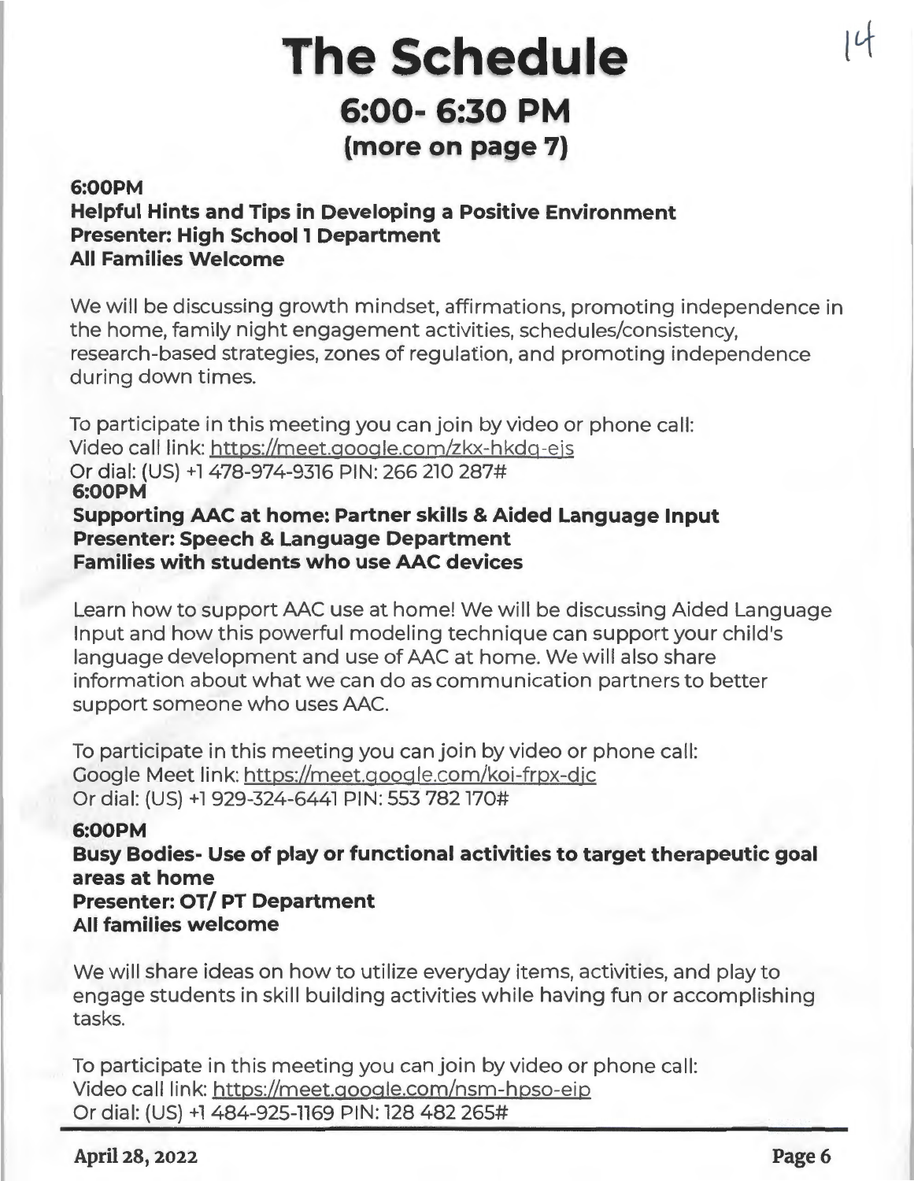# **The Schedule 6:00- 6:30 PM**  (more on page 7)

### **6:00PM**

# **Helpful Hints and Tips in Developing a Positive Environment Presenter: High School 1 Department All Families Welcome**

We will be discussing growth mindset, affirmations, promoting independence in the home, family night engagement activities, schedules/consistency, research-based strategies, zones of regulation, and promoting independence during down times.

To participate in this meeting you can join by video or phone call: Video call link: https://meet.google.com/zkx-hkdq-eis Or dial: (US) +1 478-974-9316 PIN: 266 210 287# **6:00PM Supporting AAC at home: Partner skills** & **Aided Language Input Presenter: Speech** & **Language Department Families with students who use AAC devices** 

Learn how to support AAC use at home! We will be discussing Aided Language Input and how this powerful modeling technique can support your child's language development and use of AAC at home. We will also share information about what we can do as communication partners to better support someone who uses AAC.

To participate in this meeting you can join by video or phone call: Google Meet link: https://meet.google.com/koi-frpx-djc Or dial: {US) +l 929-324-6441 PIN: 553 782170#

## **6:00PM**

**Busy Bodies- Use of play or functional activities to target therapeutic goal areas at home Presenter: OT/ PT Department All families welcome** 

We will share ideas on how to utilize everyday items, activities, and play to engage students in skill building activities while having fun or accomplishing tasks.

To participate in this meeting you can join by video or phone call: Video call link: https://meet .google.com/nsm-hpso-eip Or dial: {US) +l 484-925-1169 PIN: 128 482 265#

## **April 28, 2022 Page6**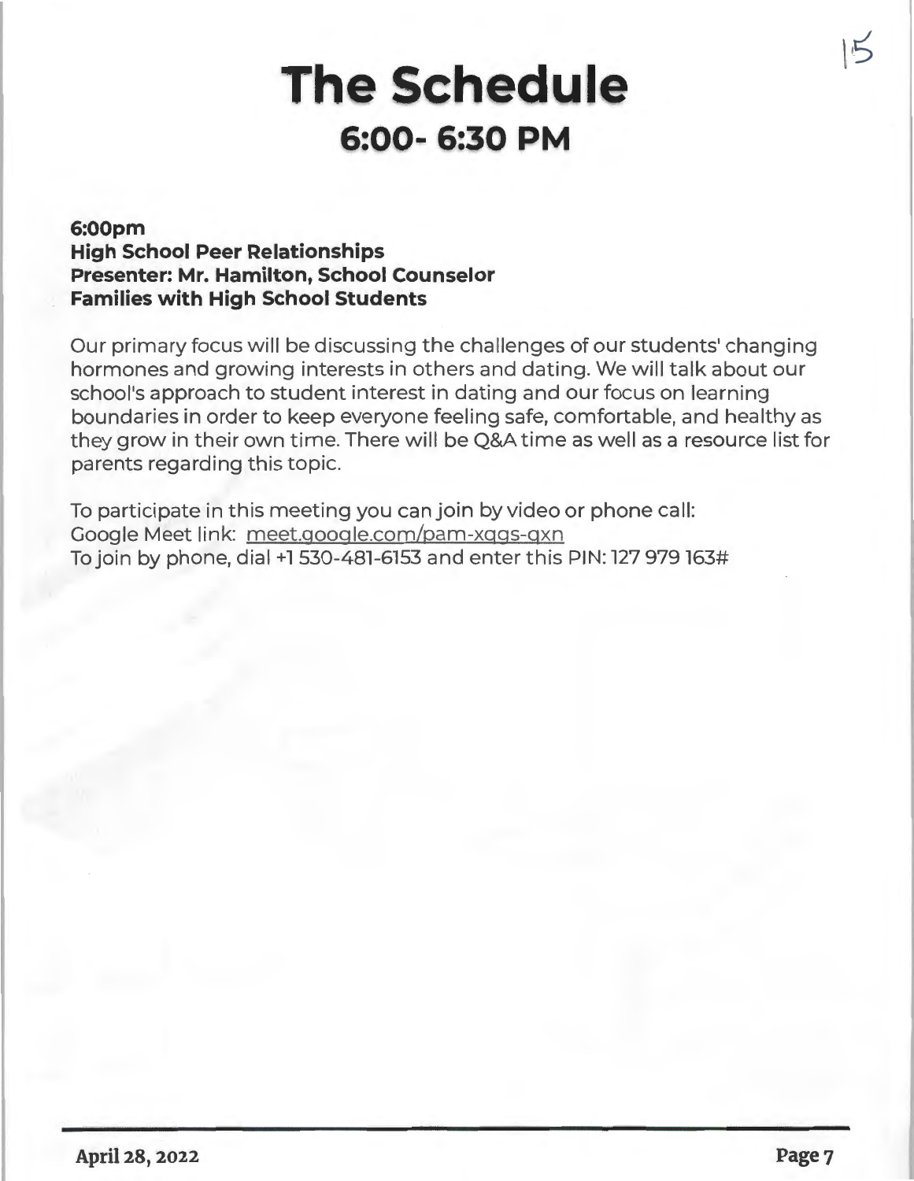# **The Schedule 6:00- 6:30 PM**

# **6:00pm High School Peer Relationships Presenter: Mr. Hamilton, School Counselor Families with High School Students**

Our primary focus will be discussing the challenges of our students' changing hormones and growing interests in others and dating. We will talk about our school's approach to student interest in dating and our focus on learning boundaries in order to keep everyone feeling safe, comfortable, and healthy as they grow in their own time. There will be Q&A time as well as a resource list for parents regarding this topic.

To participate in this meeting you can join by video or phone call: Google Meet link: meet.qoogle.com/pam-xqqs-qxn To join by phone, dial +1530-481-6153 and enter this PIN: 127 979163#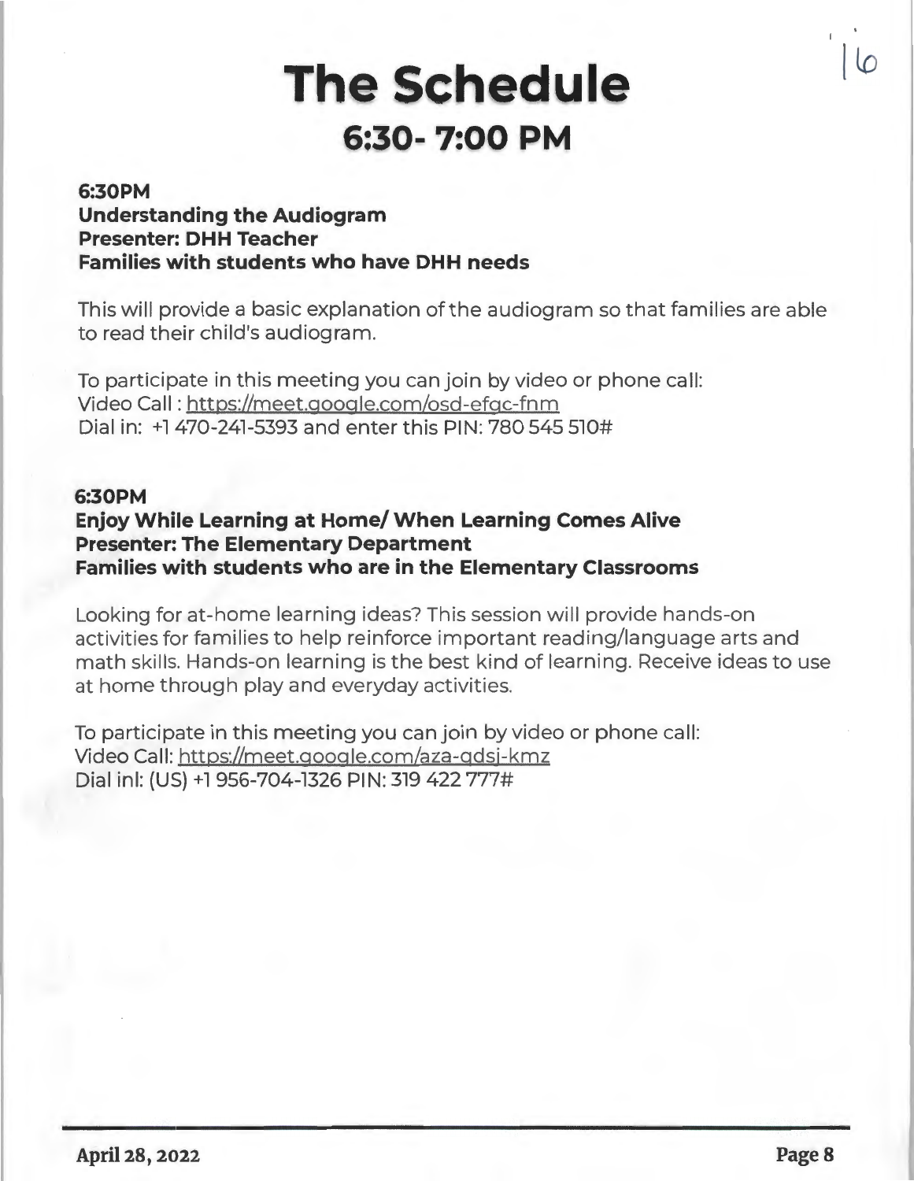# **The Schedule 6:30- 7:00 PM**

## **6:30PM Understanding the Audiogram Presenter: DHH Teacher Families with students who have DHH needs**

This will provide a basic explanation of the audiogram so that families are able to read their child's audiogram.

To participate in this meeting you can join by video or phone call: Video Call: https://meet.google.com/osd-efgc-fnm Dial in: +l 470-241-5393 and enter this PIN: 780 545 510#

## **6:30PM**

# **Enjoy While Learning at Home/ When Learning Comes Alive Presenter: The Elementary Department Families with students who are in the Elementary Classrooms**

Looking for at-home learning ideas? This session will provide hands-on activities for families to help reinforce important reading/language arts and math skills. Hands-on learning is the best kind of learning. Receive ideas to use at home through play and everyday activities.

To participate in this meeting you can join by video or phone call: Video Call: https://meet.google.com/aza-qdsj-kmz Dial inl: (US) +1 956-704-1326 PIN: 319 422 777#

**l to**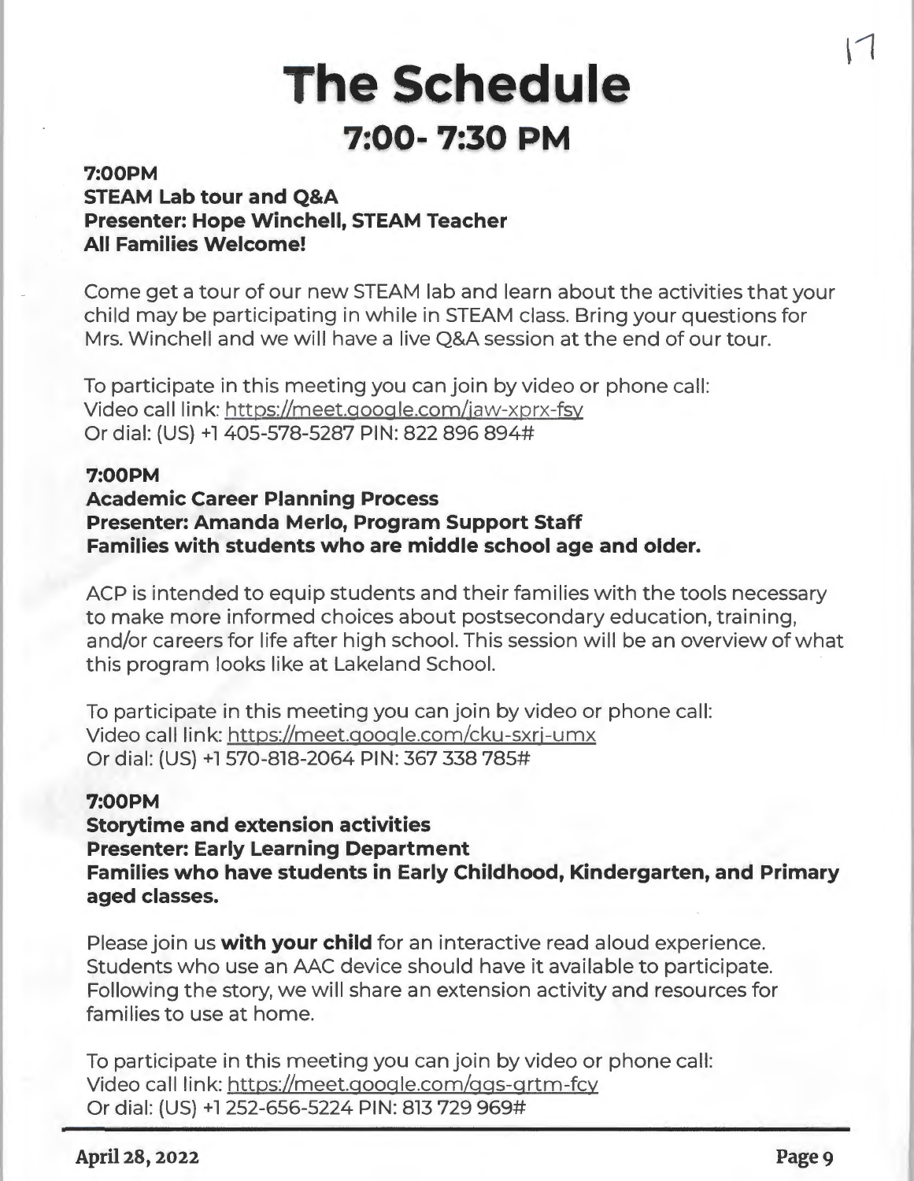# **The Schedule 7:00- 7:30 PM**

### **7:00PM**

# **STEAM Lab tour and Q&A Presenter: Hope Winchell, STEAM Teacher All Families Welcome!**

Come get a tour of our new STEAM lab and learn about the activities that your child may be participating in while in STEAM class. Bring your questions for Mrs. Winchell and we will have a live Q&A session at the end of our tour.

To participate in this meeting you can join by video or phone call: Video call link: https://meet.google.com/iaw-xprx-fsy Or dial: (US) +l 405-578-5287 PIN: 822 896 894#

### **7:00PM**

### **Academic Career Planning Process**

**Presenter: Amanda Merlo, Program Support Staff Families with students who are middle school age and older.** 

ACP is intended to equip students and their families with the tools necessary to make more informed choices about postsecondary education, training, and/or careers for life after high school. This session will be an overview of what this program looks like at Lakeland School.

To participate in this meeting you can join by video or phone call: Video call link: https://meet.google.com/cku-sxri-umx Or dial: {US) +l 570-818-2064 PIN: 367 338 785#

### **7:00PM**

**Storytime and extension activities Presenter: Early Learning Department Families who have students in Early Childhood, Kindergarten, and Primary aged classes.** 

Please join us **with your child** for an interactive read aloud experience. Students who use an AAC device should have it available to participate. Following the story, we will share an extension activity and resources for families to use at home.

To participate in this meeting you can join by video or phone call: Video call link: https://meet.google.com/ggs-grtm-fcy Or dial: (US) +l 252-656-5224 PIN: 813 729 969#